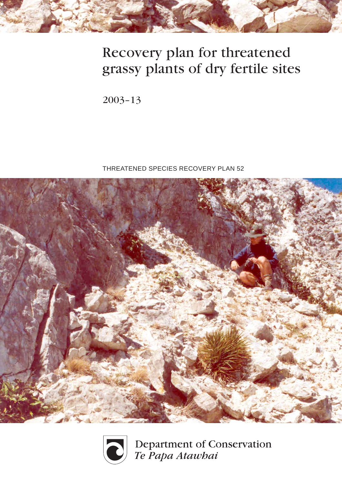

# Recovery plan for threatened grassy plants of dry fertile sites

2003–13

THREATENED SPECIES RECOVERY PLAN 52





Department of Conservation<br>Te Papa Atawhai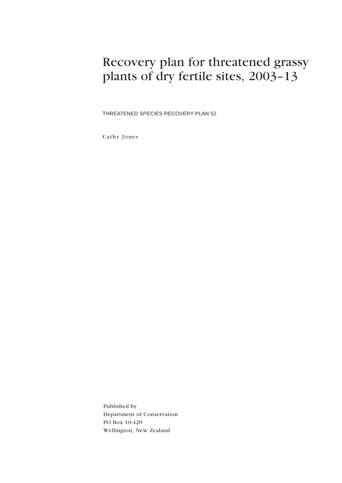## Recovery plan for threatened grassy plants of dry fertile sites, 2003–13

THREATENED SPECIES RECOVERY PLAN 52

Cathy Jones

Published by Department of Conservation PO Box 10-420 Wellington, New Zealand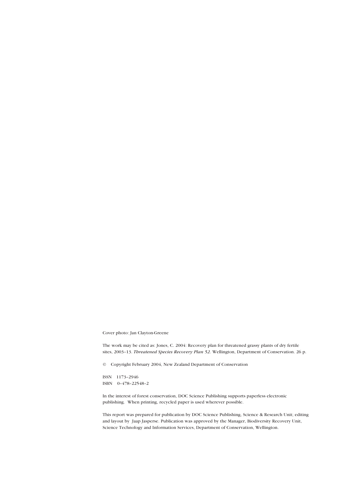Cover photo: Jan Clayton-Greene

The work may be cited as: Jones, C. 2004: Recovery plan for threatened grassy plants of dry fertile sites, 2003–13. *Threatened Species Recovery Plan 52.* Wellington, Department of Conservation. 26 p.

© Copyright February 2004, New Zealand Department of Conservation

ISSN 1173–2946 ISBN 0–478–22548–2

In the interest of forest conservation, DOC Science Publishing supports paperless electronic publishing. When printing, recycled paper is used wherever possible.

This report was prepared for publication by DOC Science Publishing, Science & Research Unit; editing and layout by Jaap Jasperse. Publication was approved by the Manager, Biodiversity Recovery Unit, Science Technology and Information Services, Department of Conservation, Wellington.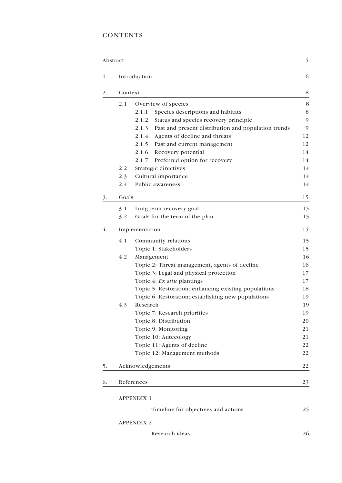## **CONTENTS**

|    | Abstract |                                                              | 5              |
|----|----------|--------------------------------------------------------------|----------------|
| 1. |          | Introduction                                                 | 6              |
| 2. | Context  |                                                              | 8              |
|    | 2.1      | Overview of species                                          | 8              |
|    |          | 2.1.1<br>Species descriptions and habitats                   | 8              |
|    |          | 2.1.2<br>Status and species recovery principle               | $\mathfrak{g}$ |
|    |          | Past and present distribution and population trends<br>2.1.3 | 9              |
|    |          | 2.1.4<br>Agents of decline and threats                       | 12             |
|    |          | 2.1.5<br>Past and current management                         | 12             |
|    |          | 2.1.6<br>Recovery potential                                  | 14             |
|    |          | 2.1.7<br>Preferred option for recovery                       | 14             |
|    | 2.2      | Strategic directives                                         | 14             |
|    | 2.3      | Cultural importance                                          | 14             |
|    | 2.4      | Public awareness                                             | 14             |
| 3. | Goals    |                                                              | 15             |
|    | 3.1      | Long-term recovery goal                                      | 15             |
|    | 3.2      | Goals for the term of the plan                               | 15             |
| 4. |          | Implementation                                               | 15             |
|    | 4.1      | Community relations                                          | 15             |
|    |          | Topic 1: Stakeholders                                        | 15             |
|    | 4.2      | Management                                                   | 16             |
|    |          | Topic 2: Threat management, agents of decline                | 16             |
|    |          | Topic 3: Legal and physical protection                       | 17             |
|    |          | Topic 4: Ex situ plantings                                   | 17             |
|    |          | Topic 5: Restoration: enhancing existing populations         | 18             |
|    |          | Topic 6: Restoration: establishing new populations           | 19             |
|    | 4.3      | Research                                                     | 19             |
|    |          | Topic 7: Research priorities                                 | 19             |
|    |          | Topic 8: Distribution                                        | 20             |
|    |          | Topic 9: Monitoring                                          | 21             |
|    |          | Topic 10: Autecology                                         | 21             |
|    |          | Topic 11: Agents of decline                                  | 22             |
|    |          | Topic 12: Management methods                                 | 22             |
| 5. |          | Acknowledgements                                             | 22             |
| 6. |          | References                                                   | 23             |
|    |          | <b>APPENDIX 1</b>                                            |                |
|    |          | Timeline for objectives and actions                          | 25             |
|    |          | <b>APPENDIX 2</b>                                            |                |
|    |          | Research ideas                                               | 26             |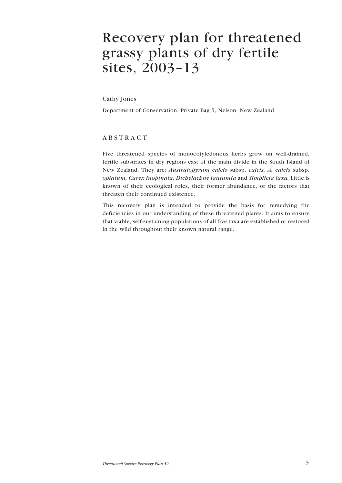## Recovery plan for threatened grassy plants of dry fertile sites, 2003–13

Cathy Jones

Department of Conservation, Private Bag 5, Nelson, New Zealand.

## ABSTRACT

Five threatened species of monocotyledonous herbs grow on well-drained, fertile substrates in dry regions east of the main divide in the South Island of New Zealand. They are: *Australopyrum calcis* subsp. *calcis, A. calcis* subsp. *optatum, Carex inopinata, Dichelachne lautumia* and *Simplicia laxa.* Little is known of their ecological roles, their former abundance, or the factors that threaten their continued existence.

This recovery plan is intended to provide the basis for remedying the deficiencies in our understanding of these threatened plants. It aims to ensure that viable, self-sustaining populations of all five taxa are established or restored in the wild throughout their known natural range.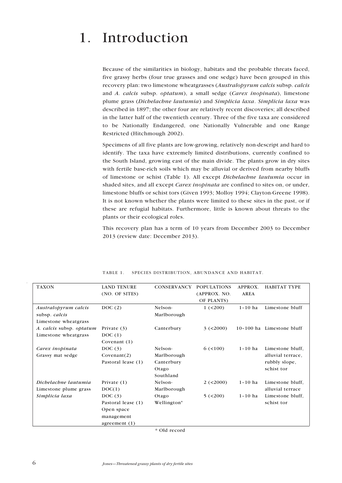# <span id="page-5-0"></span>1. Introduction

Because of the similarities in biology, habitats and the probable threats faced, five grassy herbs (four true grasses and one sedge) have been grouped in this recovery plan: two limestone wheatgrasses (*Australopyrum calcis* subsp. *calcis* and *A. calcis* subsp. *optatum*), a small sedge (*Carex inopinata*), limestone plume grass (*Dichelachne lautumia*) and *Simplicia laxa*. *Simplicia laxa* was described in 1897; the other four are relatively recent discoveries; all described in the latter half of the twentieth century. Three of the five taxa are considered to be Nationally Endangered, one Nationally Vulnerable and one Range Restricted (Hitchmough 2002).

Specimens of all five plants are low-growing, relatively non-descript and hard to identify. The taxa have extremely limited distributions, currently confined to the South Island, growing east of the main divide. The plants grow in dry sites with fertile base-rich soils which may be alluvial or derived from nearby bluffs of limestone or schist (Table 1). All except *Dichelachne lautumia* occur in shaded sites, and all except *Carex inopinata* are confined to sites on, or under, limestone bluffs or schist tors (Given 1993; Molloy 1994; Clayton-Greene 1998). It is not known whether the plants were limited to these sites in the past, or if these are refugial habitats. Furthermore, little is known about threats to the plants or their ecological roles.

This recovery plan has a term of 10 years from December 2003 to December 2013 (review date: December 2013).

| <b>TAXON</b>             | <b>LAND TENURE</b> | <b>CONSERVANCY</b> | <b>POPULATIONS</b> | APPROX.     | <b>HABITAT TYPE</b>       |
|--------------------------|--------------------|--------------------|--------------------|-------------|---------------------------|
|                          | (NO. OF SITES)     |                    | (APPROX. NO.       | <b>AREA</b> |                           |
|                          |                    |                    | OF PLANTS)         |             |                           |
| Australopyrum calcis     | DOC(2)             | Nelson-            | 1 (200)            | $1 - 10$ ha | Limestone bluff           |
| subsp. calcis            |                    | Marlborough        |                    |             |                           |
| Limestone wheatgrass     |                    |                    |                    |             |                           |
| A. calcis subsp. optatum | Private $(3)$      | Canterbury         | 3 (< 2000)         |             | 10-100 ha Limestone bluff |
| Limestone wheatgrass     | DOC(1)             |                    |                    |             |                           |
|                          | Covenant (1)       |                    |                    |             |                           |
| Carex inopinata          | DOC $(3)$          | Nelson-            | 6(<100)            | $1-10$ ha   | Limestone bluff,          |
| Grassy mat sedge         | Covenant(2)        | Marlborough        |                    |             | alluvial terrace,         |
|                          | Pastoral lease (1) | Canterbury         |                    |             | rubbly slope,             |
|                          |                    | Otago              |                    |             | schist tor                |
|                          |                    | Southland          |                    |             |                           |
| Dichelachne lautumia     | Private $(1)$      | Nelson-            | 2 (< 2000)         | $1-10$ ha   | Limestone bluff,          |
| Limestone plume grass    | DOC(1)             | Marlborough        |                    |             | alluvial terrace          |
| Simplicia laxa           | DOC $(3)$          | Otago              | 5 (< 200)          | $1-10$ ha   | Limestone bluff,          |
|                          | Pastoral lease (1) | Wellington*        |                    |             | schist tor                |
|                          | Open space         |                    |                    |             |                           |
|                          | management         |                    |                    |             |                           |
|                          | agreement $(1)$    |                    |                    |             |                           |

TABLE 1. SPECIES DISTRIBUTION, ABUNDANCE AND HABITAT.

*\** Old record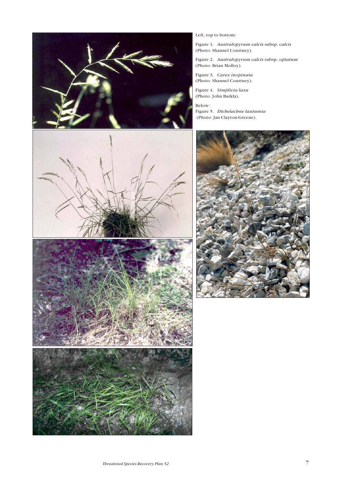







Left, top to bottom:

Figure 1. *Australopyrum calcis* subsp. *calcis* (Photo: Shannel Courtney).

Figure 2. *Australopyrum calcis* subsp. *optatum* (Photo: Brian Molloy).

Figure 3. *Carex inopinata* (Photo: Shannel Courtney).

Figure 4. *Simplicia laxa* (Photo: John Barkla).

Below: Figure 5. *Dichelachne lautumia* (Photo: Jan Clayton-Greene).

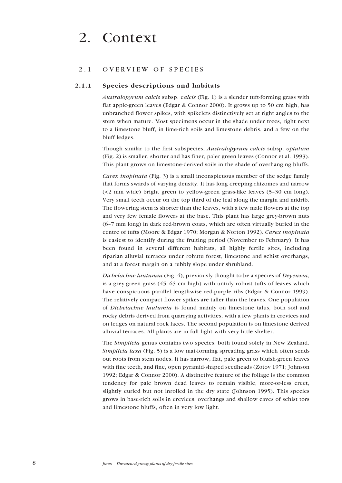## <span id="page-7-0"></span>2.1 OVERVIEW OF SPECIES

#### **2.1.1 Species descriptions and habitats**

*Australopyrum calcis* subsp. c*alcis* (Fig. 1) is a slender tuft-forming grass with flat apple-green leaves (Edgar & Connor 2000). It grows up to 50 cm high, has unbranched flower spikes, with spikelets distinctively set at right angles to the stem when mature. Most specimens occur in the shade under trees, right next to a limestone bluff, in lime-rich soils and limestone debris, and a few on the bluff ledges.

Though similar to the first subspecies, *Australopyrum calcis* subsp. *optatum* (Fig. 2) is smaller, shorter and has finer, paler green leaves (Connor et al. 1993). This plant grows on limestone-derived soils in the shade of overhanging bluffs.

*Carex inopinata* (Fig. 3) is a small inconspicuous member of the sedge family that forms swards of varying density. It has long creeping rhizomes and narrow (<2 mm wide) bright green to yellow-green grass-like leaves (5–30 cm long). Very small teeth occur on the top third of the leaf along the margin and midrib. The flowering stem is shorter than the leaves, with a few male flowers at the top and very few female flowers at the base. This plant has large grey-brown nuts (6–7 mm long) in dark red-brown coats, which are often virtually buried in the centre of tufts (Moore & Edgar 1970; Morgan & Norton 1992). *Carex inopinata* is easiest to identify during the fruiting period (November to February). It has been found in several different habitats, all highly fertile sites, including riparian alluvial terraces under rohutu forest, limestone and schist overhangs, and at a forest margin on a rubbly slope under shrubland.

*Dichelachne lautumia* (Fig. 4), previously thought to be a species of *Deyeuxia*, is a grey-green grass (45–65 cm high) with untidy robust tufts of leaves which have conspicuous parallel lengthwise red-purple ribs (Edgar & Connor 1999). The relatively compact flower spikes are taller than the leaves. One population of *Dichelachne lautumia* is found mainly on limestone talus, both soil and rocky debris derived from quarrying activities, with a few plants in crevices and on ledges on natural rock faces. The second population is on limestone derived alluvial terraces. All plants are in full light with very little shelter.

The *Simplicia* genus contains two species, both found solely in New Zealand. *Simplicia laxa* (Fig. 5) is a low mat-forming spreading grass which often sends out roots from stem nodes. It has narrow, flat, pale green to bluish-green leaves with fine teeth, and fine, open pyramid-shaped seedheads (Zotov 1971; Johnson 1992; Edgar & Connor 2000). A distinctive feature of the foliage is the common tendency for pale brown dead leaves to remain visible, more-or-less erect, slightly curled but not inrolled in the dry state (Johnson 1995). This species grows in base-rich soils in crevices, overhangs and shallow caves of schist tors and limestone bluffs, often in very low light.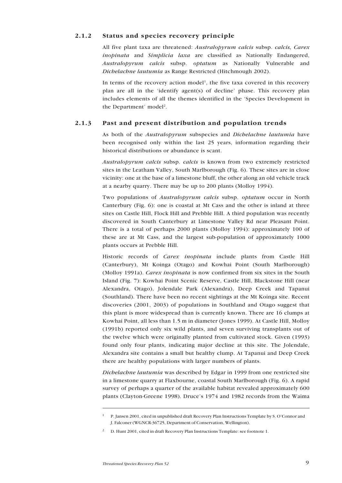### <span id="page-8-0"></span>**2.1.2 Status and species recovery principle**

All five plant taxa are threatened: *Australopyrum calcis* subsp. *calcis, Carex inopinata* and *Simplicia laxa* are classified as Nationally Endangered, *Australopyrum calcis* subsp. *optatum* as Nationally Vulnerable and *Dichelachne lautumia* as Range Restricted (Hitchmough 2002).

In terms of the recovery action model<sup>1</sup>, the five taxa covered in this recovery plan are all in the 'identify agent(s) of decline' phase. This recovery plan includes elements of all the themes identified in the 'Species Development in the Department' model<sup>2</sup>.

#### **2.1.3 Past and present distribution and population trends**

As both of the *Australopyrum* subspecies and *Dichelachne lautumia* have been recognised only within the last 25 years, information regarding their historical distributions or abundance is scant.

*Australopyrum calcis* subsp. *calcis* is known from two extremely restricted sites in the Leatham Valley, South Marlborough (Fig. 6). These sites are in close vicinity: one at the base of a limestone bluff, the other along an old vehicle track at a nearby quarry. There may be up to 200 plants (Molloy 1994).

Two populations of *Australopyrum calcis* subsp. *optatum* occur in North Canterbury (Fig. 6): one is coastal at Mt Cass and the other is inland at three sites on Castle Hill, Flock Hill and Prebble Hill. A third population was recently discovered in South Canterbury at Limestone Valley Rd near Pleasant Point. There is a total of perhaps 2000 plants (Molloy 1994): approximately 100 of these are at Mt Cass, and the largest sub-population of approximately 1000 plants occurs at Prebble Hill.

Historic records of *Carex inopinata* include plants from Castle Hill (Canterbury), Mt Koinga (Otago) and Kowhai Point (South Marlborough) (Molloy 1991a). *Carex inopinata* is now confirmed from six sites in the South Island (Fig. 7): Kowhai Point Scenic Reserve, Castle Hill, Blackstone Hill (near Alexandra, Otago), Jolendale Park (Alexandra), Deep Creek and Tapanui (Southland). There have been no recent sightings at the Mt Koinga site. Recent discoveries (2001, 2003) of populations in Southland and Otago suggest that this plant is more widespread than is currently known. There are 16 clumps at Kowhai Point, all less than 1.5 m in diameter (Jones 1999). At Castle Hill, Molloy (1991b) reported only six wild plants, and seven surviving transplants out of the twelve which were originally planted from cultivated stock. Given (1993) found only four plants, indicating major decline at this site. The Jolendale, Alexandra site contains a small but healthy clump. At Tapanui and Deep Creek there are healthy populations with larger numbers of plants.

*Dichelachne lautumia* was described by Edgar in 1999 from one restricted site in a limestone quarry at Flaxbourne, coastal South Marlborough (Fig. 6). A rapid survey of perhaps a quarter of the available habitat revealed approximately 600 plants (Clayton-Greene 1998). Druce's 1974 and 1982 records from the Waima

<sup>1</sup> P. Jansen 2001, cited in unpublished draft Recovery Plan Instructions Template by S. O'Connor and J. Falconer (WGNCR-36725, Department of Conservation, Wellington).

<sup>2</sup> D. Hunt 2001, cited in draft Recovery Plan Instructions Template: see footnote 1.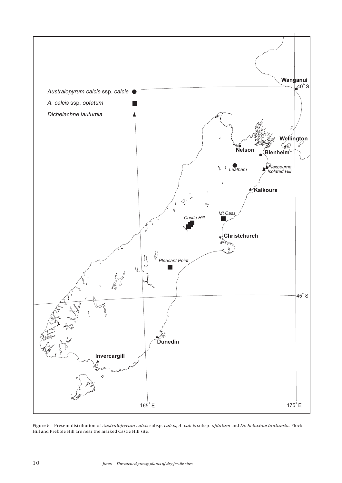

Figure 6. Present distribution of *Australopyrum calcis* subsp. *calcis, A. calcis* subsp. *optatum* and *Dichelachne lautumia*. Flock Hill and Prebble Hill are near the marked Castle Hill site.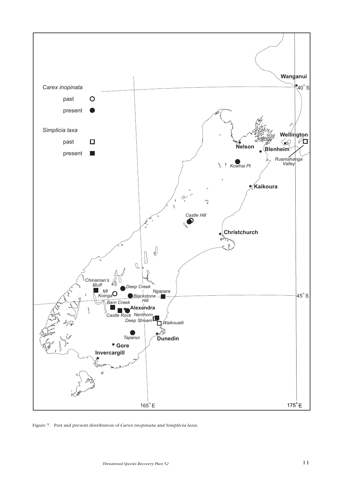

Figure 7. Past and present distribution of *Carex inopinata* and *Simplicia laxa*.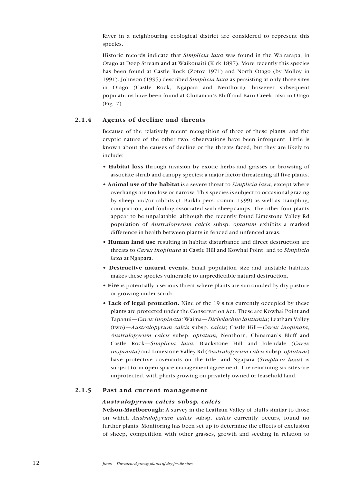<span id="page-11-0"></span>River in a neighbouring ecological district are considered to represent this species.

Historic records indicate that *Simplicia laxa* was found in the Wairarapa, in Otago at Deep Stream and at Waikouaiti (Kirk 1897). More recently this species has been found at Castle Rock (Zotov 1971) and North Otago (by Molloy in 1991). Johnson (1995) described *Simplicia laxa* as persisting at only three sites in Otago (Castle Rock, Ngapara and Nenthorn); however subsequent populations have been found at Chinaman's Bluff and Barn Creek, also in Otago (Fig. 7).

## **2.1.4 Agents of decline and threats**

Because of the relatively recent recognition of three of these plants, and the cryptic nature of the other two, observations have been infrequent. Little is known about the causes of decline or the threats faced, but they are likely to include:

- **Habitat loss** through invasion by exotic herbs and grasses or browsing of associate shrub and canopy species: a major factor threatening all five plants.
- **Animal use of the habitat** is a severe threat to *Simplicia laxa,* except where overhangs are too low or narrow. This species is subject to occasional grazing by sheep and/or rabbits (J. Barkla pers. comm. 1999) as well as trampling, compaction, and fouling associated with sheepcamps. The other four plants appear to be unpalatable, although the recently found Limestone Valley Rd population of *Australopyrum calcis* subsp. *optatum* exhibits a marked difference in health between plants in fenced and unfenced areas.
- **Human land use** resulting in habitat disturbance and direct destruction are threats to *Carex inopinata* at Castle Hill and Kowhai Point, and to *Simplicia laxa* at Ngapara.
- **Destructive natural events.** Small population size and unstable habitats makes these species vulnerable to unpredictable natural destruction.
- **Fire** is potentially a serious threat where plants are surrounded by dry pasture or growing under scrub.
- **Lack of legal protection.** Nine of the 19 sites currently occupied by these plants are protected under the Conservation Act. These are Kowhai Point and Tapanui—*Carex inopinata;* Waima—*Dichelachne lautumia*; Leatham Valley (two)—*Australopyrum calcis* subsp. *calcis*; Castle Hill—*Carex inopinata, Australopyrum calcis* subsp. *optatum;* Nenthorn, Chinaman's Bluff and Castle Rock—*Simplicia laxa.* Blackstone Hill and Jolendale (*Carex inopinata)* and Limestone Valley Rd (*Australopyrum calcis* subsp. *optatum*) have protective covenants on the title, and Ngapara (*Simplicia laxa*) is subject to an open space management agreement. The remaining six sites are unprotected, with plants growing on privately owned or leasehold land.

## **2.1.5 Past and current management**

#### *Australopyrum calcis* **subsp***. calcis*

**Nelson-Marlborough:** A survey in the Leatham Valley of bluffs similar to those on which *Australopyrum calcis* subsp. *calcis* currently occurs, found no further plants. Monitoring has been set up to determine the effects of exclusion of sheep, competition with other grasses, growth and seeding in relation to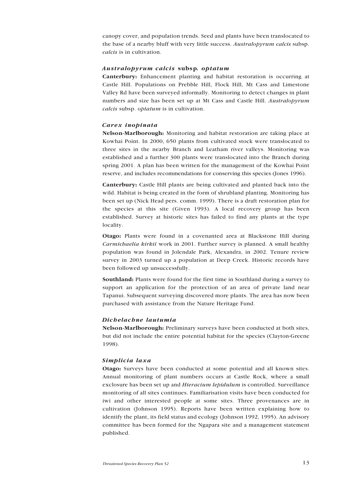canopy cover, and population trends. Seed and plants have been translocated to the base of a nearby bluff with very little success. *Australopyrum calcis* subsp. *calcis* is in cultivation.

#### *Australopyrum calcis* **subsp***. optatum*

**Canterbury:** Enhancement planting and habitat restoration is occurring at Castle Hill. Populations on Prebble Hill, Flock Hill, Mt Cass and Limestone Valley Rd have been surveyed informally. Monitoring to detect changes in plant numbers and size has been set up at Mt Cass and Castle Hill. *Australopyrum calcis* subsp. *optatum* is in cultivation.

#### *Carex inopinata*

**Nelson-Marlborough:** Monitoring and habitat restoration are taking place at Kowhai Point. In 2000, 650 plants from cultivated stock were translocated to three sites in the nearby Branch and Leatham river valleys. Monitoring was established and a further 300 plants were translocated into the Branch during spring 2001. A plan has been written for the management of the Kowhai Point reserve, and includes recommendations for conserving this species (Jones 1996).

**Canterbury:** Castle Hill plants are being cultivated and planted back into the wild. Habitat is being created in the form of shrubland planting. Monitoring has been set up (Nick Head pers. comm. 1999). There is a draft restoration plan for the species at this site (Given 1993). A local recovery group has been established. Survey at historic sites has failed to find any plants at the type locality.

**Otago:** Plants were found in a covenanted area at Blackstone Hill during *Carmichaelia kirkii* work in 2001. Further survey is planned. A small healthy population was found in Jolendale Park, Alexandra, in 2002. Tenure review survey in 2003 turned up a population at Deep Creek. Historic records have been followed up unsuccessfully.

**Southland:** Plants were found for the first time in Southland during a survey to support an application for the protection of an area of private land near Tapanui. Subsequent surveying discovered more plants. The area has now been purchased with assistance from the Nature Heritage Fund.

#### *Dichelachne lautumia*

**Nelson-Marlborough:** Preliminary surveys have been conducted at both sites, but did not include the entire potential habitat for the species (Clayton-Greene 1998).

#### *Simplicia laxa*

**Otago:** Surveys have been conducted at some potential and all known sites. Annual monitoring of plant numbers occurs at Castle Rock, where a small exclosure has been set up and *Hieracium lepidulum* is controlled. Surveillance monitoring of all sites continues. Familiarisation visits have been conducted for iwi and other interested people at some sites. Three provenances are in cultivation (Johnson 1995). Reports have been written explaining how to identify the plant, its field status and ecology (Johnson 1992, 1995). An advisory committee has been formed for the Ngapara site and a management statement published.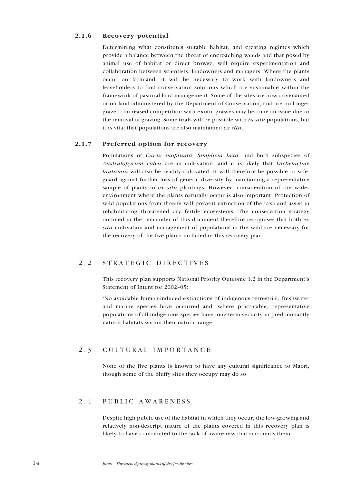## <span id="page-13-0"></span>**2.1.6 Recovery potential**

Determining what constitutes suitable habitat, and creating regimes which provide a balance between the threat of encroaching weeds and that posed by animal use of habitat or direct browse, will require experimentation and collaboration between scientists, landowners and managers. Where the plants occur on farmland, it will be necessary to work with landowners and leaseholders to find conservation solutions which are sustainable within the framework of pastoral land management. Some of the sites are now covenanted or on land administered by the Department of Conservation, and are no longer grazed. Increased competition with exotic grasses may become an issue due to the removal of grazing. Some trials will be possible with *in situ* populations, but it is vital that populations are also maintained *ex situ*.

## **2.1.7 Preferred option for recovery**

Populations of *Carex inopinata*, *Simplicia laxa,* and both subspecies of *Australopyrum calcis* are in cultivation, and it is likely that *Dichelachne lautumia* will also be readily cultivated. It will therefore be possible to safeguard against further loss of genetic diversity by maintaining a representative sample of plants in *ex situ* plantings. However, consideration of the wider environment where the plants naturally occur is also important. Protection of wild populations from threats will prevent extinction of the taxa and assist in rehabilitating threatened dry fertile ecosystems. The conservation strategy outlined in the remainder of this document therefore recognises that both *ex situ* cultivation and management of populations in the wild are necessary for the recovery of the five plants included in this recovery plan.

## 2.2 STRATEGIC DIRECTIVES

This recovery plan supports National Priority Outcome 1.2 in the Department's Statement of Intent for 2002–05:

'No avoidable human-induced extinctions of indigenous terrestrial, freshwater and marine species have occurred and, where practicable, representative populations of all indigenous species have long-term security in predominantly natural habitats within their natural range.'

## 2.3 CULTURAL IMPORTANCE

None of the five plants is known to have any cultural significance to Maori, though some of the bluffy sites they occupy may do so.

## 2.4 PUBLIC AWARENESS

Despite high public use of the habitat in which they occur, the low-growing and relatively non-descript nature of the plants covered in this recovery plan is likely to have contributed to the lack of awareness that surrounds them.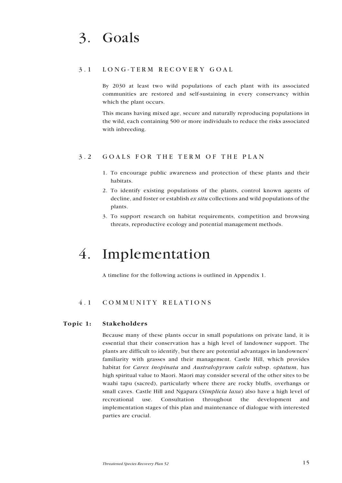## <span id="page-14-0"></span>3.1 LONG-TERM RECOVERY GOAL

By 2030 at least two wild populations of each plant with its associated communities are restored and self-sustaining in every conservancy within which the plant occurs.

This means having mixed age, secure and naturally reproducing populations in the wild, each containing 500 or more individuals to reduce the risks associated with inbreeding.

## 3.2 GOALS FOR THE TERM OF THE PLAN

- 1. To encourage public awareness and protection of these plants and their habitats.
- 2. To identify existing populations of the plants, control known agents of decline, and foster or establish *ex situ* collections and wild populations of the plants.
- 3. To support research on habitat requirements, competition and browsing threats, reproductive ecology and potential management methods.

# 4. Implementation

A timeline for the following actions is outlined in Appendix 1.

## 4.1 COMMUNITY RELATIONS

## **Topic 1: Stakeholders**

Because many of these plants occur in small populations on private land, it is essential that their conservation has a high level of landowner support. The plants are difficult to identify, but there are potential advantages in landowners' familiarity with grasses and their management. Castle Hill, which provides habitat for *Carex inopinata* and *Australopyrum calcis* subsp. *optatum*, has high spiritual value to Maori. Maori may consider several of the other sites to be waahi tapu (sacred), particularly where there are rocky bluffs, overhangs or small caves. Castle Hill and Ngapara (*Simplicia laxa*) also have a high level of recreational use. Consultation throughout the development and implementation stages of this plan and maintenance of dialogue with interested parties are crucial.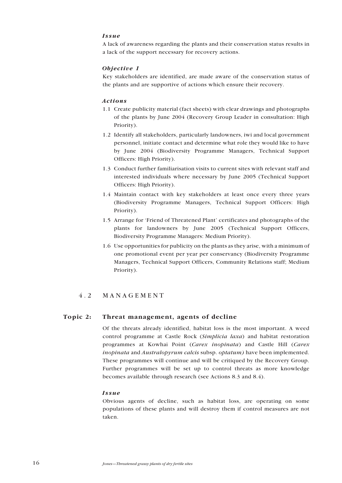## <span id="page-15-0"></span>*Issue*

A lack of awareness regarding the plants and their conservation status results in a lack of the support necessary for recovery actions.

## *Objective 1*

Key stakeholders are identified, are made aware of the conservation status of the plants and are supportive of actions which ensure their recovery.

### *Actions*

- 1.1 Create publicity material (fact sheets) with clear drawings and photographs of the plants by June 2004 (Recovery Group Leader in consultation: High Priority).
- 1.2 Identify all stakeholders, particularly landowners, iwi and local government personnel, initiate contact and determine what role they would like to have by June 2004 (Biodiversity Programme Managers, Technical Support Officers: High Priority).
- 1.3 Conduct further familiarisation visits to current sites with relevant staff and interested individuals where necessary by June 2005 (Technical Support Officers: High Priority).
- 1.4 Maintain contact with key stakeholders at least once every three years (Biodiversity Programme Managers, Technical Support Officers: High Priority).
- 1.5 Arrange for 'Friend of Threatened Plant' certificates and photographs of the plants for landowners by June 2005 (Technical Support Officers, Biodiversity Programme Managers: Medium Priority).
- 1.6 Use opportunities for publicity on the plants as they arise, with a minimum of one promotional event per year per conservancy (Biodiversity Programme Managers, Technical Support Officers, Community Relations staff; Medium Priority).

## 4.2 MANAGEMENT

#### **Topic 2: Threat management, agents of decline**

Of the threats already identified, habitat loss is the most important. A weed control programme at Castle Rock (*Simplicia laxa*) and habitat restoration programmes at Kowhai Point (*Carex inopinata*) and Castle Hill (*Carex inopinata* and *Australopyrum calcis* subsp. *optatum)* have been implemented. These programmes will continue and will be critiqued by the Recovery Group. Further programmes will be set up to control threats as more knowledge becomes available through research (see Actions 8.3 and 8.4).

#### *Issue*

Obvious agents of decline, such as habitat loss, are operating on some populations of these plants and will destroy them if control measures are not taken.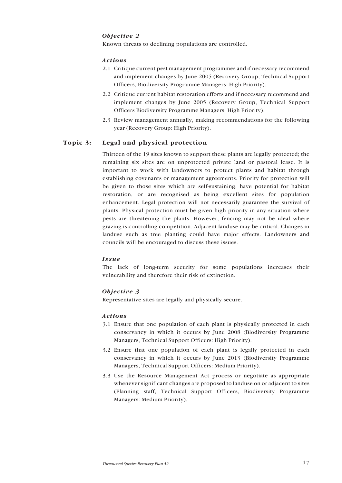## <span id="page-16-0"></span>*Objective 2*

Known threats to declining populations are controlled.

#### *Actions*

- 2.1 Critique current pest management programmes and if necessary recommend and implement changes by June 2005 (Recovery Group, Technical Support Officers, Biodiversity Programme Managers: High Priority).
- 2.2 Critique current habitat restoration efforts and if necessary recommend and implement changes by June 2005 (Recovery Group, Technical Support Officers Biodiversity Programme Managers: High Priority).
- 2.3 Review management annually, making recommendations for the following year (Recovery Group: High Priority).

## **Topic 3: Legal and physical protection**

Thirteen of the 19 sites known to support these plants are legally protected; the remaining six sites are on unprotected private land or pastoral lease. It is important to work with landowners to protect plants and habitat through establishing covenants or management agreements. Priority for protection will be given to those sites which are self-sustaining, have potential for habitat restoration, or are recognised as being excellent sites for population enhancement. Legal protection will not necessarily guarantee the survival of plants. Physical protection must be given high priority in any situation where pests are threatening the plants. However, fencing may not be ideal where grazing is controlling competition. Adjacent landuse may be critical. Changes in landuse such as tree planting could have major effects. Landowners and councils will be encouraged to discuss these issues.

#### *Issue*

The lack of long-term security for some populations increases their vulnerability and therefore their risk of extinction.

## *Objective 3*

Representative sites are legally and physically secure.

#### *Actions*

- 3.1 Ensure that one population of each plant is physically protected in each conservancy in which it occurs by June 2008 (Biodiversity Programme Managers, Technical Support Officers: High Priority).
- 3.2 Ensure that one population of each plant is legally protected in each conservancy in which it occurs by June 2013 (Biodiversity Programme Managers, Technical Support Officers: Medium Priority).
- 3.3 Use the Resource Management Act process or negotiate as appropriate whenever significant changes are proposed to landuse on or adjacent to sites (Planning staff, Technical Support Officers, Biodiversity Programme Managers: Medium Priority).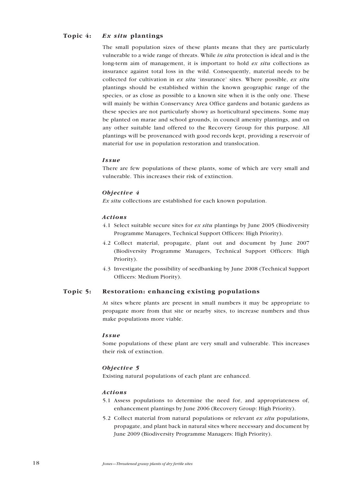## <span id="page-17-0"></span>**Topic 4:** *Ex situ* **plantings**

The small population sizes of these plants means that they are particularly vulnerable to a wide range of threats. While *in situ* protection is ideal and is the long-term aim of management, it is important to hold *ex situ* collections as insurance against total loss in the wild. Consequently, material needs to be collected for cultivation in *ex situ* 'insurance' sites. Where possible, *ex situ* plantings should be established within the known geographic range of the species, or as close as possible to a known site when it is the only one. These will mainly be within Conservancy Area Office gardens and botanic gardens as these species are not particularly showy as horticultural specimens. Some may be planted on marae and school grounds, in council amenity plantings, and on any other suitable land offered to the Recovery Group for this purpose. All plantings will be provenanced with good records kept, providing a reservoir of material for use in population restoration and translocation.

### *Issue*

There are few populations of these plants, some of which are very small and vulnerable. This increases their risk of extinction.

### *Objective 4*

*Ex situ* collections are established for each known population.

### *Actions*

- 4.1 Select suitable secure sites for *ex situ* plantings by June 2005 (Biodiversity Programme Managers, Technical Support Officers: High Priority).
- 4.2 Collect material, propagate, plant out and document by June 2007 (Biodiversity Programme Managers, Technical Support Officers: High Priority).
- 4.3 Investigate the possibility of seedbanking by June 2008 (Technical Support Officers: Medium Piority).

## **Topic 5: Restoration: enhancing existing populations**

At sites where plants are present in small numbers it may be appropriate to propagate more from that site or nearby sites, to increase numbers and thus make populations more viable.

#### *Issue*

Some populations of these plant are very small and vulnerable. This increases their risk of extinction.

#### *Objective 5*

Existing natural populations of each plant are enhanced.

#### *Actions*

- 5.1 Assess populations to determine the need for, and appropriateness of, enhancement plantings by June 2006 (Recovery Group: High Priority).
- 5.2 Collect material from natural populations or relevant *ex situ* populations, propagate, and plant back in natural sites where necessary and document by June 2009 (Biodiversity Programme Managers: High Priority).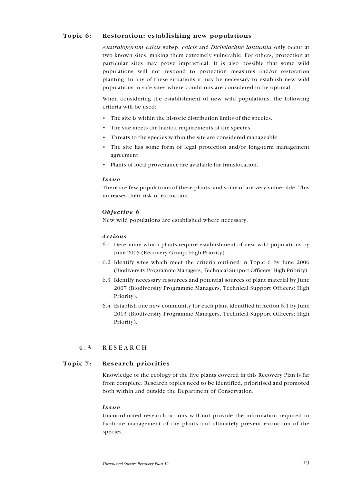## <span id="page-18-0"></span>**Topic 6: Restoration: establishing new populations**

*Australopyrum calcis* subsp. *calcis* and *Dichelachne lautumia* only occur at two known sites, making them extremely vulnerable. For others, protection at particular sites may prove impractical. It is also possible that some wild populations will not respond to protection measures and/or restoration planting. In any of these situations it may be necessary to establish new wild populations in safe sites where conditions are considered to be optimal.

When considering the establishment of new wild populations, the following criteria will be used:

- The site is within the historic distribution limits of the species.
- The site meets the habitat requirements of the species.
- Threats to the species within the site are considered manageable.
- The site has some form of legal protection and/or long-term management agreement.
- Plants of local provenance are available for translocation.

#### *Issue*

There are few populations of these plants, and some of are very vulnerable. This increases their risk of extinction.

### *Objective 6*

New wild populations are established where necessary.

### *Actions*

- 6.1 Determine which plants require establishment of new wild populations by June 2005 (Recovery Group: High Priority).
- 6.2 Identify sites which meet the criteria outlined in Topic 6 by June 2006 (Biodiversity Programme Managers, Technical Support Officers: High Priority).
- 6.3 Identify necessary resources and potential sources of plant material by June 2007 (Biodiversity Programme Managers, Technical Support Officers: High Priority).
- 6.4 Establish one new community for each plant identified in Action 6.1 by June 2013 (Biodiversity Programme Managers, Technical Support Officers: High Priority).

## 4.3 RESEARCH

## **Topic 7: Research priorities**

Knowledge of the ecology of the five plants covered in this Recovery Plan is far from complete. Research topics need to be identified, prioritised and promoted both within and outside the Department of Conservation.

#### *Issue*

Uncoordinated research actions will not provide the information required to facilitate management of the plants and ultimately prevent extinction of the species.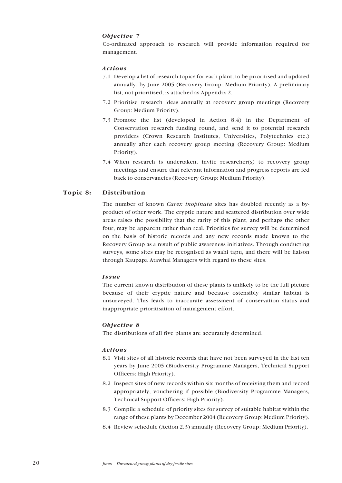## <span id="page-19-0"></span>*Objective 7*

Co-ordinated approach to research will provide information required for management.

## *Actions*

- 7.1 Develop a list of research topics for each plant, to be prioritised and updated annually, by June 2005 (Recovery Group: Medium Priority). A preliminary list, not prioritised, is attached as Appendix 2.
- 7.2 Prioritise research ideas annually at recovery group meetings (Recovery Group: Medium Priority).
- 7.3 Promote the list (developed in Action 8.4) in the Department of Conservation research funding round, and send it to potential research providers (Crown Research Institutes, Universities, Polytechnics etc.) annually after each recovery group meeting (Recovery Group: Medium Priority).
- 7.4 When research is undertaken, invite researcher(s) to recovery group meetings and ensure that relevant information and progress reports are fed back to conservancies (Recovery Group: Medium Priority).

## **Topic 8: Distribution**

The number of known *Carex inopinata* sites has doubled recently as a byproduct of other work. The cryptic nature and scattered distribution over wide areas raises the possibility that the rarity of this plant, and perhaps the other four, may be apparent rather than real. Priorities for survey will be determined on the basis of historic records and any new records made known to the Recovery Group as a result of public awareness initiatives. Through conducting surveys, some sites may be recognised as waahi tapu, and there will be liaison through Kaupapa Atawhai Managers with regard to these sites.

#### *Issue*

The current known distribution of these plants is unlikely to be the full picture because of their cryptic nature and because ostensibly similar habitat is unsurveyed. This leads to inaccurate assessment of conservation status and inappropriate prioritisation of management effort.

#### *Objective 8*

The distributions of all five plants are accurately determined.

### *Actions*

- 8.1 Visit sites of all historic records that have not been surveyed in the last ten years by June 2005 (Biodiversity Programme Managers, Technical Support Officers: High Priority).
- 8.2 Inspect sites of new records within six months of receiving them and record appropriately, vouchering if possible (Biodiversity Programme Managers, Technical Support Officers: High Priority).
- 8.3 Compile a schedule of priority sites for survey of suitable habitat within the range of these plants by December 2004 (Recovery Group: Medium Priority).
- 8.4 Review schedule (Action 2.3) annually (Recovery Group: Medium Priority).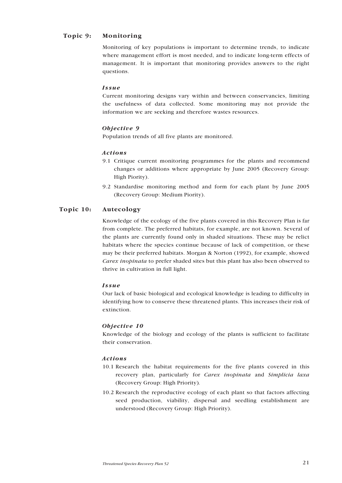## <span id="page-20-0"></span>**Topic 9: Monitoring**

Monitoring of key populations is important to determine trends, to indicate where management effort is most needed, and to indicate long-term effects of management. It is important that monitoring provides answers to the right questions.

#### *Issue*

Current monitoring designs vary within and between conservancies, limiting the usefulness of data collected. Some monitoring may not provide the information we are seeking and therefore wastes resources.

## *Objective 9*

Population trends of all five plants are monitored.

#### *Actions*

- 9.1 Critique current monitoring programmes for the plants and recommend changes or additions where appropriate by June 2005 (Recovery Group: High Piority).
- 9.2 Standardise monitoring method and form for each plant by June 2005 (Recovery Group: Medium Piority).

## **Topic 10: Autecology**

Knowledge of the ecology of the five plants covered in this Recovery Plan is far from complete. The preferred habitats, for example, are not known. Several of the plants are currently found only in shaded situations. These may be relict habitats where the species continue because of lack of competition, or these may be their preferred habitats. Morgan & Norton (1992), for example, showed *Carex inopinata* to prefer shaded sites but this plant has also been observed to thrive in cultivation in full light.

#### *Issue*

Our lack of basic biological and ecological knowledge is leading to difficulty in identifying how to conserve these threatened plants. This increases their risk of extinction.

#### *Objective 10*

Knowledge of the biology and ecology of the plants is sufficient to facilitate their conservation.

#### *Actions*

- 10.1 Research the habitat requirements for the five plants covered in this recovery plan, particularly for *Carex inopinata* and *Simplicia laxa* (Recovery Group: High Priority)*.*
- 10.2 Research the reproductive ecology of each plant so that factors affecting seed production, viability, dispersal and seedling establishment are understood (Recovery Group: High Priority).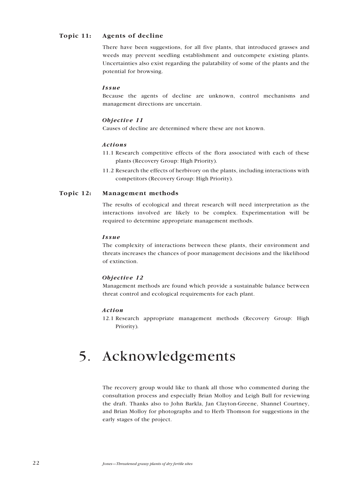## <span id="page-21-0"></span>**Topic 11: Agents of decline**

There have been suggestions, for all five plants, that introduced grasses and weeds may prevent seedling establishment and outcompete existing plants. Uncertainties also exist regarding the palatability of some of the plants and the potential for browsing.

### *Issue*

Because the agents of decline are unknown, control mechanisms and management directions are uncertain.

## *Objective 11*

Causes of decline are determined where these are not known.

#### *Actions*

- 11.1 Research competitive effects of the flora associated with each of these plants (Recovery Group: High Priority)*.*
- 11.2 Research the effects of herbivory on the plants, including interactions with competitors (Recovery Group: High Priority)*.*

### **Topic 12: Management methods**

The results of ecological and threat research will need interpretation as the interactions involved are likely to be complex. Experimentation will be required to determine appropriate management methods.

#### *Issue*

The complexity of interactions between these plants, their environment and threats increases the chances of poor management decisions and the likelihood of extinction.

#### *Objective 12*

Management methods are found which provide a sustainable balance between threat control and ecological requirements for each plant.

#### *Action*

12.1 Research appropriate management methods (Recovery Group: High Priority)*.*

## 5. Acknowledgements

The recovery group would like to thank all those who commented during the consultation process and especially Brian Molloy and Leigh Bull for reviewing the draft. Thanks also to John Barkla, Jan Clayton-Greene, Shannel Courtney, and Brian Molloy for photographs and to Herb Thomson for suggestions in the early stages of the project.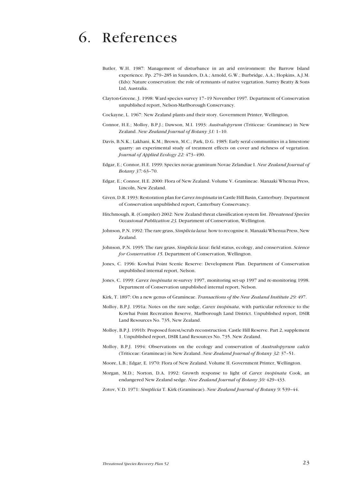## 6. References

- Butler, W.H. 1987: Management of disturbance in an arid environment: the Barrow Island experience. Pp. 279–285 in Saunders, D.A.; Arnold, G.W.; Burbridge, A.A.; Hopkins, A.J.M. (Eds): Nature conservation: the role of remnants of native vegetation. Surrey Beatty & Sons Ltd, Australia.
- Clayton-Greene, J. 1998: Ward species survey 17–19 November 1997. Department of Conservation unpublished report, Nelson-Marlborough Conservancy.
- Cockayne, L. 1967: New Zealand plants and their story. Government Printer, Wellington.
- Connor, H.E.; Molloy, B.P.J.; Dawson, M.I. 1993: *Australopyrum* (Triticeae: Gramineae) in New Zealand. *New Zealand Journal of Botany 31:* 1–10.
- Davis, B.N.K.; Lakhani, K.M.; Brown, M.C.; Park, D.G. 1985: Early seral communities in a limestone quarry: an experimental study of treatment effects on cover and richness of vegetation. *Journal of Applied Ecology 22:* 473–490.
- Edgar, E.; Connor, H.E. 1999: Species novae graminum Novae Zelandiae I. *New Zealand Journal of Botany 37:* 63–70.
- Edgar, E.; Connor, H.E. 2000: Flora of New Zealand. Volume V. Gramineae. Manaaki Whenua Press, Lincoln, New Zealand.
- Given, D.R. 1993: Restoration plan for *Carex inopinata* in Castle Hill Basin, Canterbury. Department of Conservation unpublished report, Canterbury Conservancy.
- Hitchmough, R. (Compiler) 2002: New Zealand threat classification system list. *Threatened Species Occasional Publication 23.* Department of Conservation, Wellington.
- Johnson, P.N. 1992: The rare grass, *Simplicia laxa*: how to recognise it. Manaaki Whenua Press, New Zealand.
- Johnson, P.N. 1995: The rare grass, *Simplicia laxa*: field status, ecology, and conservation. *Science for Conservation 15.* Department of Conservation, Wellington.
- Jones, C. 1996: Kowhai Point Scenic Reserve: Development Plan. Department of Conservation unpublished internal report, Nelson.
- Jones, C. 1999: *Carex inopinata* re-survey 1997, monitoring set-up 1997 and re-monitoring 1998. Department of Conservation unpublished internal report, Nelson.
- Kirk, T. 1897: On a new genus of Gramineae. *Transactions of the New Zealand Institute 29:* 497.
- Molloy, B.P.J. 1991a: Notes on the rare sedge, *Carex inopinata*, with particular reference to the Kowhai Point Recreation Reserve, Marlborough Land District. Unpublished report, DSIR Land Resources No. 735, New Zealand.
- Molloy, B.P.J. 1991b: Proposed forest/scrub reconstruction. Castle Hill Reserve. Part 2, supplement 1. Unpublished report, DSIR Land Resources No. 735. New Zealand.
- Molloy, B.P.J. 1994: Observations on the ecology and conservation of *Australopyrum calcis* (Triticeae: Gramineae) in New Zealand. *New Zealand Journal of Botany 32:* 37–51.
- Moore, L.B.; Edgar, E. 1970: Flora of New Zealand. Volume II. Government Printer, Wellington.
- Morgan, M.D.; Norton, D.A. 1992: Growth response to light of *Carex inopinata* Cook, an endangered New Zealand sedge. *New Zealand Journal of Botany 30:* 429–433.
- Zotov, V.D. 1971: *Simplicia* T. Kirk (Gramineae). *New Zealand Journal of Botany 9:* 539–44.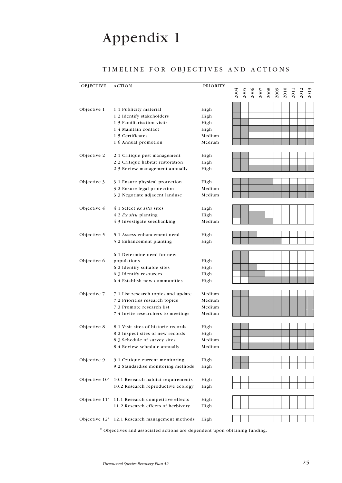# <span id="page-24-0"></span>Appendix 1

## TIMELINE FOR OBJECTIVES AND ACTIONS

| OBJECTIVE     | <b>ACTION</b>                                  | <b>PRIORITY</b> |      |      |                  |                     |  |     |     |      |
|---------------|------------------------------------------------|-----------------|------|------|------------------|---------------------|--|-----|-----|------|
|               |                                                |                 | 2004 | 2005 | 200 <sub>0</sub> | $\frac{2007}{2008}$ |  | 201 | 201 | 2013 |
| Objective 1   | 1.1 Publicity material                         | High            |      |      |                  |                     |  |     |     |      |
|               | 1.2 Identify stakeholders                      | High            |      |      |                  |                     |  |     |     |      |
|               | 1.3 Familiarisation visits                     | High            |      |      |                  |                     |  |     |     |      |
|               | 1.4 Maintain contact                           | High            |      |      |                  |                     |  |     |     |      |
|               | 1.5 Certificates                               | Medium          |      |      |                  |                     |  |     |     |      |
|               | 1.6 Annual promotion                           | Medium          |      |      |                  |                     |  |     |     |      |
| Objective 2   | 2.1 Critique pest management                   | High            |      |      |                  |                     |  |     |     |      |
|               | 2.2 Critique habitat restoration               | High            |      |      |                  |                     |  |     |     |      |
|               | 2.3 Review management annually                 | High            |      |      |                  |                     |  |     |     |      |
| Objective 3   | 3.1 Ensure physical protection                 | High            |      |      |                  |                     |  |     |     |      |
|               | 3.2 Ensure legal protection                    | Medium          |      |      |                  |                     |  |     |     |      |
|               | 3.3 Negotiate adjacent landuse                 | Medium          |      |      |                  |                     |  |     |     |      |
| Objective 4   | 4.1 Select ex situ sites                       | High            |      |      |                  |                     |  |     |     |      |
|               | 4.2 $Ex$ situ planting                         | High            |      |      |                  |                     |  |     |     |      |
|               | 4.3 Investigate seedbanking                    | Medium          |      |      |                  |                     |  |     |     |      |
| Objective 5   | 5.1 Assess enhancement need                    | High            |      |      |                  |                     |  |     |     |      |
|               | 5.2 Enhancement planting                       | High            |      |      |                  |                     |  |     |     |      |
|               | 6.1 Determine need for new                     |                 |      |      |                  |                     |  |     |     |      |
| Objective 6   | populations                                    | High            |      |      |                  |                     |  |     |     |      |
|               | 6.2 Identify suitable sites                    | High            |      |      |                  |                     |  |     |     |      |
|               | 6.3 Identify resources                         | High            |      |      |                  |                     |  |     |     |      |
|               | 6.4 Establish new communities                  | High            |      |      |                  |                     |  |     |     |      |
| Objective 7   | 7.1 List research topics and update            | Medium          |      |      |                  |                     |  |     |     |      |
|               | 7.2 Priorities research topics                 | Medium          |      |      |                  |                     |  |     |     |      |
|               | 7.3 Promote research list                      | Medium          |      |      |                  |                     |  |     |     |      |
|               | 7.4 Invite researchers to meetings             | Medium          |      |      |                  |                     |  |     |     |      |
| Objective 8   | 8.1 Visit sites of historic records            | High            |      |      |                  |                     |  |     |     |      |
|               | 8.2 Inspect sites of new records               | High            |      |      |                  |                     |  |     |     |      |
|               | 8.3 Schedule of survey sites                   | Medium          |      |      |                  |                     |  |     |     |      |
|               | 8.4 Review schedule annually                   | Medium          |      |      |                  |                     |  |     |     |      |
| Objective 9   | 9.1 Critique current monitoring                | High            |      |      |                  |                     |  |     |     |      |
|               | 9.2 Standardise monitoring methods             | High            |      |      |                  |                     |  |     |     |      |
|               |                                                |                 |      |      |                  |                     |  |     |     |      |
| Objective 10* | 10.1 Research habitat requirements             | High            |      |      |                  |                     |  |     |     |      |
|               | 10.2 Research reproductive ecology             | High            |      |      |                  |                     |  |     |     |      |
| Objective 11* | 11.1 Research competitive effects              | High            |      |      |                  |                     |  |     |     |      |
|               | 11.2 Research effects of herbivory             | High            |      |      |                  |                     |  |     |     |      |
|               |                                                |                 |      |      |                  |                     |  |     |     |      |
|               | Objective 12* 12.1 Research management methods | High            |      |      |                  |                     |  |     |     |      |

\* Objectives and associated actions are dependent upon obtaining funding.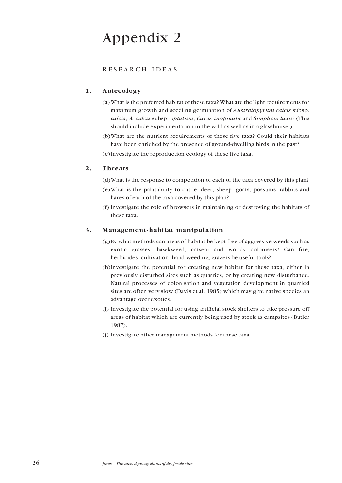# <span id="page-25-0"></span>Appendix 2

## RESEARCH IDEAS

## **1. Autecology**

- (a) What is the preferred habitat of these taxa? What are the light requirements for maximum growth and seedling germination of *Australopyrum calcis* subsp. *calcis*, *A. calcis* subsp. *optatum*, *Carex inopinata* and *Simplicia laxa*? (This should include experimentation in the wild as well as in a glasshouse.)
- (b)What are the nutrient requirements of these five taxa? Could their habitats have been enriched by the presence of ground-dwelling birds in the past?

(c)Investigate the reproduction ecology of these five taxa.

## **2. Threats**

(d)What is the response to competition of each of the taxa covered by this plan?

- (e)What is the palatability to cattle, deer, sheep, goats, possums, rabbits and hares of each of the taxa covered by this plan?
- (f) Investigate the role of browsers in maintaining or destroying the habitats of these taxa.

## **3. Management-habitat manipulation**

- (g)By what methods can areas of habitat be kept free of aggressive weeds such as exotic grasses, hawkweed, catsear and woody colonisers? Can fire, herbicides, cultivation, hand-weeding, grazers be useful tools?
- (h)Investigate the potential for creating new habitat for these taxa, either in previously disturbed sites such as quarries, or by creating new disturbance. Natural processes of colonisation and vegetation development in quarried sites are often very slow (Davis et al. 1985) which may give native species an advantage over exotics.
- (i) Investigate the potential for using artificial stock shelters to take pressure off areas of habitat which are currently being used by stock as campsites (Butler 1987).
- (j) Investigate other management methods for these taxa.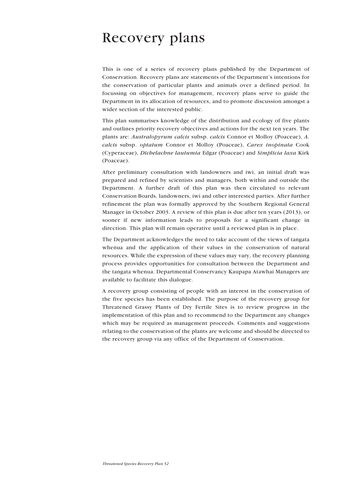## Recovery plans

This is one of a series of recovery plans published by the Department of Conservation. Recovery plans are statements of the Department's intentions for the conservation of particular plants and animals over a defined period. In focussing on objectives for management, recovery plans serve to guide the Department in its allocation of resources, and to promote discussion amongst a wider section of the interested public.

This plan summarises knowledge of the distribution and ecology of five plants and outlines priority recovery objectives and actions for the next ten years. The plants are: *Australopyrum calcis* subsp. *calcis* Connor et Molloy (Poaceae), *A. calcis* subsp. *optatum* Connor et Molloy (Poaceae), *Carex inopinata* Cook (Cyperaceae), *Dichelachne lautumia* Edgar (Poaceae) and *Simplicia laxa* Kirk (Poaceae).

After preliminary consultation with landowners and iwi, an initial draft was prepared and refined by scientists and managers, both within and outside the Department. A further draft of this plan was then circulated to relevant Conservation Boards, landowners, iwi and other interested parties. After further refinement the plan was formally approved by the Southern Regional General Manager in October 2003. A review of this plan is due after ten years (2013), or sooner if new information leads to proposals for a significant change in direction. This plan will remain operative until a reviewed plan is in place.

The Department acknowledges the need to take account of the views of tangata whenua and the application of their values in the conservation of natural resources. While the expression of these values may vary, the recovery planning process provides opportunities for consultation between the Department and the tangata whenua. Departmental Conservancy Kaupapa Atawhai Managers are available to facilitate this dialogue.

A recovery group consisting of people with an interest in the conservation of the five species has been established. The purpose of the recovery group for Threatened Grassy Plants of Dry Fertile Sites is to review progress in the implementation of this plan and to recommend to the Department any changes which may be required as management proceeds. Comments and suggestions relating to the conservation of the plants are welcome and should be directed to the recovery group via any office of the Department of Conservation.